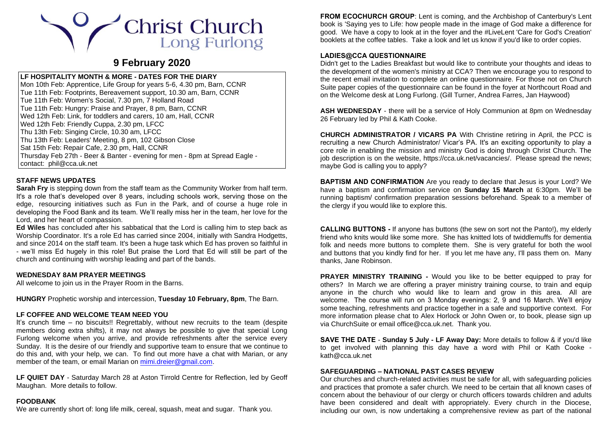# **Christ Church Long Furlong**

# **9 February 2020**

# **LF HOSPITALITY MONTH & MORE - DATES FOR THE DIARY**

Mon 10th Feb: Apprentice, Life Group for years 5-6, 4.30 pm, Barn, CCNR Tue 11th Feb: Footprints, Bereavement support, 10.30 am, Barn, CCNR Tue 11th Feb: Women's Social, 7.30 pm, 7 Holland Road Tue 11th Feb: Hungry: Praise and Prayer, 8 pm, Barn, CCNR Wed 12th Feb: Link, for toddlers and carers, 10 am, Hall, CCNR Wed 12th Feb: Friendly Cuppa, 2.30 pm, LFCC Thu 13th Feb: Singing Circle, 10.30 am, LFCC Thu 13th Feb: Leaders' Meeting, 8 pm, 102 Gibson Close Sat 15th Feb: Repair Cafe, 2.30 pm, Hall, CCNR Thursday Feb 27th - Beer & Banter - evening for men - 8pm at Spread Eagle contact: [phil@cca.uk.net](mailto:phil@cca.uk.net)

### **STAFF NEWS UPDATES**

**Sarah Fry** is stepping down from the staff team as the Community Worker from half term. It's a role that's developed over 8 years, including schools work, serving those on the edge, resourcing initiatives such as Fun in the Park, and of course a huge role in developing the Food Bank and its team. We'll really miss her in the team, her love for the Lord, and her heart of compassion.

**Ed Wiles** has concluded after his sabbatical that the Lord is calling him to step back as Worship Coordinator. It's a role Ed has carried since 2004, initially with Sandra Hodgetts, and since 2014 on the staff team. It's been a huge task which Ed has proven so faithful in - we'll miss Ed hugely in this role! But praise the Lord that Ed will still be part of the church and continuing with worship leading and part of the bands.

#### **WEDNESDAY 8AM PRAYER MEETINGS**

All welcome to join us in the Prayer Room in the Barns.

**HUNGRY** Prophetic worship and intercession, **Tuesday 10 February, 8pm**, The Barn.

#### **LF COFFEE AND WELCOME TEAM NEED YOU**

It's crunch time – no biscuits!! Regrettably, without new recruits to the team (despite members doing extra shifts), it may not always be possible to give that special Long Furlong welcome when you arrive, and provide refreshments after the service every Sunday. It is the desire of our friendly and supportive team to ensure that we continue to do this and, with your help, we can. To find out more have a chat with Marian, or any member of the team, or email Marian on [mimi.dreier@gmail.com.](mailto:mimi.dreier@gmail.com)

**LF QUIET DAY** - Saturday March 28 at Aston Tirrold Centre for Reflection, led by Geoff Maughan. More details to follow.

# **FOODBANK**

We are currently short of: long life milk, cereal, squash, meat and sugar. Thank you.

**FROM ECOCHURCH GROUP**: Lent is coming, and the Archbishop of Canterbury's Lent book is 'Saying yes to Life: how people made in the image of God make a difference for good. We have a copy to look at in the foyer and the #LiveLent 'Care for God's Creation' booklets at the coffee tables. Take a look and let us know if you'd like to order copies.

## **LADIES@CCA QUESTIONNAIRE**

Didn't get to the Ladies Breakfast but would like to contribute your thoughts and ideas to the development of the women's ministry at CCA? Then we encourage you to respond to the recent email invitation to complete an online questionnaire. For those not on Church Suite paper copies of the questionnaire can be found in the foyer at Northcourt Road and on the Welcome desk at Long Furlong. (Gill Turner, Andrea Farres, Jan Haywood)

**ASH WEDNESDAY** - there will be a service of Holy Communion at 8pm on Wednesday 26 February led by Phil & Kath Cooke.

**CHURCH ADMINISTRATOR / VICARS PA** With Christine retiring in April, the PCC is recruiting a new Church Administrator/ Vicar's PA. It's an exciting opportunity to play a core role in enabling the mission and ministry God is doing through Christ Church. The job description is on the website, [https://cca.uk.net/vacancies/.](https://cca.uk.net/vacancies/) Please spread the news; maybe God is calling you to apply?

**BAPTISM AND CONFIRMATION** Are you ready to declare that Jesus is your Lord? We have a baptism and confirmation service on **Sunday 15 March** at 6:30pm. We'll be running baptism/ confirmation preparation sessions beforehand. Speak to a member of the clergy if you would like to explore this.

**CALLING BUTTONS -** If anyone has buttons (the sew on sort not the Panto!), my elderly friend who knits would like some more. She has knitted lots of twiddlemuffs for dementia folk and needs more buttons to complete them. She is very grateful for both the wool and buttons that you kindly find for her. If you let me have any, I'll pass them on. Many thanks, Jane Robinson.

**PRAYER MINISTRY TRAINING -** Would you like to be better equipped to pray for others? In March we are offering a prayer ministry training course, to train and equip anyone in the church who would like to learn and grow in this area. All are welcome. The course will run on 3 Monday evenings: 2, 9 and 16 March. We'll enjoy some teaching, refreshments and practice together in a safe and supportive context. For more information please chat to Alex Horlock or John Owen or, to book, please sign up via ChurchSuite or emai[l office@cca.uk.net.](mailto:office@cca.uk.net) Thank you.

**SAVE THE DATE** - **Sunday 5 July - LF Away Day:** More details to follow & if you'd like to get involved with planning this day have a word with Phil or Kath Cooke [kath@cca.uk.net](mailto:kath@cca.uk.net)

#### **SAFEGUARDING – NATIONAL PAST CASES REVIEW**

Our churches and church-related activities must be safe for all, with safeguarding policies and practices that promote a safer church. We need to be certain that all known cases of concern about the behaviour of our clergy or church officers towards children and adults have been considered and dealt with appropriately. Every church in the Diocese, including our own, is now undertaking a comprehensive review as part of the national